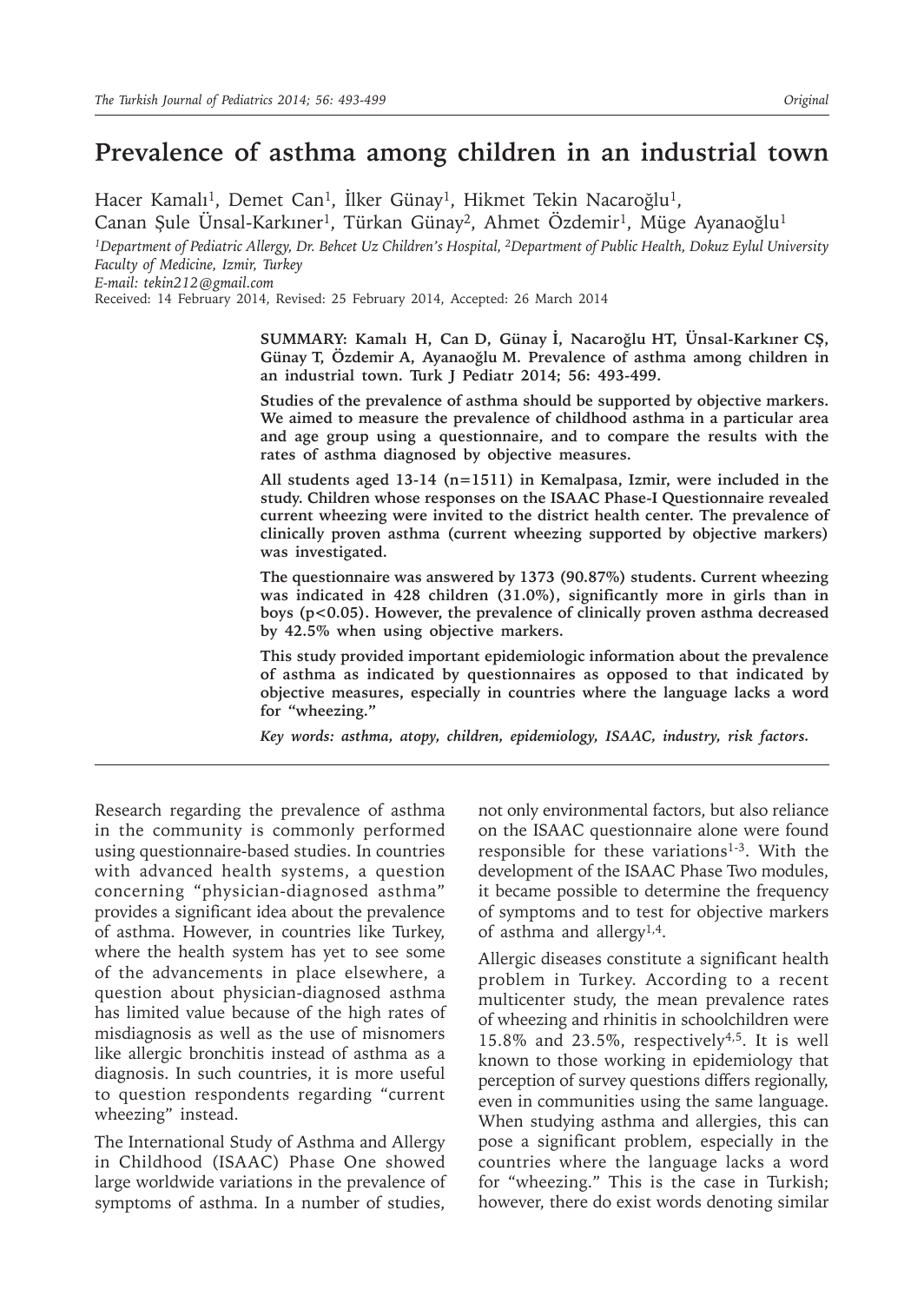# **Prevalence of asthma among children in an industrial town**

Hacer Kamalı<sup>1</sup>, Demet Can<sup>1</sup>, İlker Günay<sup>1</sup>, Hikmet Tekin Nacaroğlu<sup>1</sup>, Canan Şule Ünsal-Karkıner<sup>1</sup>, Türkan Günay<sup>2</sup>, Ahmet Özdemir<sup>1</sup>, Müge Ayanaoğlu<sup>1</sup>

*1Department of Pediatric Allergy, Dr. Behcet Uz Children's Hospital, 2Department of Public Health, Dokuz Eylul University Faculty of Medicine, Izmir, Turkey*

*E-mail: tekin212@gmail.com*

Received: 14 February 2014, Revised: 25 February 2014, Accepted: 26 March 2014

**SUMMARY: Kamalı H, Can D, Günay İ, Nacaroğlu HT, Ünsal-Karkıner CŞ, Günay T, Özdemir A, Ayanaoğlu M. Prevalence of asthma among children in an industrial town. Turk J Pediatr 2014; 56: 493-499.**

**Studies of the prevalence of asthma should be supported by objective markers. We aimed to measure the prevalence of childhood asthma in a particular area and age group using a questionnaire, and to compare the results with the rates of asthma diagnosed by objective measures.**

**All students aged 13-14 (n=1511) in Kemalpasa, Izmir, were included in the study. Children whose responses on the ISAAC Phase-I Questionnaire revealed current wheezing were invited to the district health center. The prevalence of clinically proven asthma (current wheezing supported by objective markers) was investigated.**

**The questionnaire was answered by 1373 (90.87%) students. Current wheezing was indicated in 428 children (31.0%), significantly more in girls than in boys (p<0.05). However, the prevalence of clinically proven asthma decreased by 42.5% when using objective markers.** 

**This study provided important epidemiologic information about the prevalence of asthma as indicated by questionnaires as opposed to that indicated by objective measures, especially in countries where the language lacks a word for "wheezing."** 

*Key words: asthma, atopy, children, epidemiology, ISAAC, industry, risk factors.*

Research regarding the prevalence of asthma in the community is commonly performed using questionnaire-based studies. In countries with advanced health systems, a question concerning "physician-diagnosed asthma" provides a significant idea about the prevalence of asthma. However, in countries like Turkey, where the health system has yet to see some of the advancements in place elsewhere, a question about physician-diagnosed asthma has limited value because of the high rates of misdiagnosis as well as the use of misnomers like allergic bronchitis instead of asthma as a diagnosis. In such countries, it is more useful to question respondents regarding "current wheezing" instead.

The International Study of Asthma and Allergy in Childhood (ISAAC) Phase One showed large worldwide variations in the prevalence of symptoms of asthma. In a number of studies,

not only environmental factors, but also reliance on the ISAAC questionnaire alone were found responsible for these variations<sup>1-3</sup>. With the development of the ISAAC Phase Two modules, it became possible to determine the frequency of symptoms and to test for objective markers of asthma and allergy1,4.

Allergic diseases constitute a significant health problem in Turkey. According to a recent multicenter study, the mean prevalence rates of wheezing and rhinitis in schoolchildren were 15.8% and 23.5%, respectively4,5. It is well known to those working in epidemiology that perception of survey questions differs regionally, even in communities using the same language. When studying asthma and allergies, this can pose a significant problem, especially in the countries where the language lacks a word for "wheezing." This is the case in Turkish; however, there do exist words denoting similar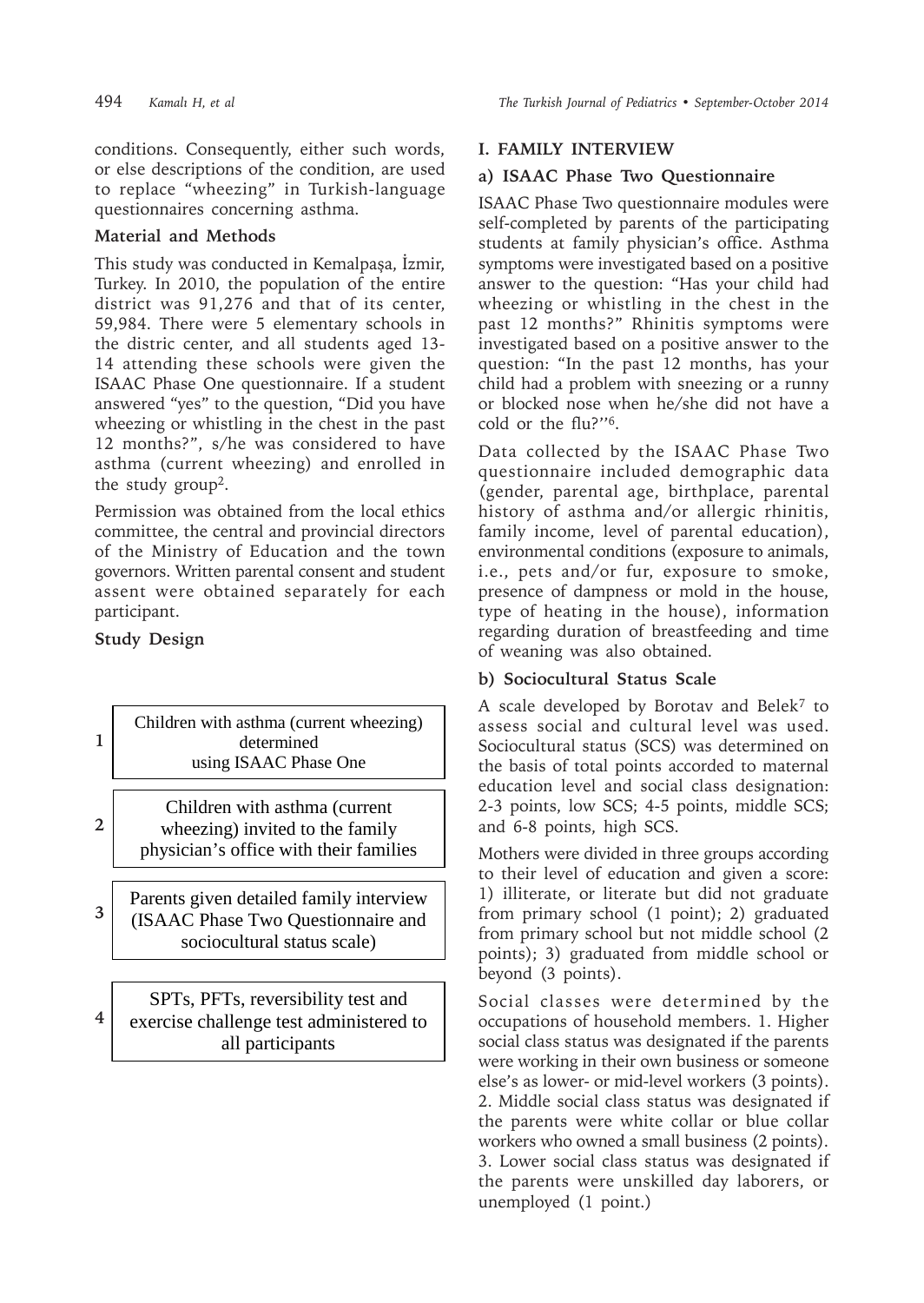conditions. Consequently, either such words, or else descriptions of the condition, are used to replace "wheezing" in Turkish-language questionnaires concerning asthma.

## **Material and Methods**

This study was conducted in Kemalpaşa, İzmir, Turkey. In 2010, the population of the entire district was 91,276 and that of its center, 59,984. There were 5 elementary schools in the distric center, and all students aged 13- 14 attending these schools were given the ISAAC Phase One questionnaire. If a student answered "yes" to the question, "Did you have wheezing or whistling in the chest in the past 12 months?", s/he was considered to have asthma (current wheezing) and enrolled in the study group<sup>2</sup>.

Permission was obtained from the local ethics committee, the central and provincial directors of the Ministry of Education and the town governors. Written parental consent and student assent were obtained separately for each participant.

# **Study Design**

**2**

**1**

**4**

#### Children with asthma (current wheezing) determined using ISAAC Phase One

Children with asthma (current wheezing) invited to the family physician's office with their families

**3** Parents given detailed family interview (ISAAC Phase Two Questionnaire and sociocultural status scale)

SPTs, PFTs, reversibility test and exercise challenge test administered to all participants

#### **I. FAMILY INTERVIEW**

#### **a) ISAAC Phase Two Questionnaire**

ISAAC Phase Two questionnaire modules were self-completed by parents of the participating students at family physician's office. Asthma symptoms were investigated based on a positive answer to the question: "Has your child had wheezing or whistling in the chest in the past 12 months?" Rhinitis symptoms were investigated based on a positive answer to the question: "In the past 12 months, has your child had a problem with sneezing or a runny or blocked nose when he/she did not have a cold or the flu?''6.

Data collected by the ISAAC Phase Two questionnaire included demographic data (gender, parental age, birthplace, parental history of asthma and/or allergic rhinitis, family income, level of parental education), environmental conditions (exposure to animals, i.e., pets and/or fur, exposure to smoke, presence of dampness or mold in the house, type of heating in the house), information regarding duration of breastfeeding and time of weaning was also obtained.

#### **b) Sociocultural Status Scale**

A scale developed by Borotav and Belek7 to assess social and cultural level was used. Sociocultural status (SCS) was determined on the basis of total points accorded to maternal education level and social class designation: 2-3 points, low SCS; 4-5 points, middle SCS; and 6-8 points, high SCS.

Mothers were divided in three groups according to their level of education and given a score: 1) illiterate, or literate but did not graduate from primary school (1 point); 2) graduated from primary school but not middle school (2 points); 3) graduated from middle school or beyond (3 points).

Social classes were determined by the occupations of household members. 1. Higher social class status was designated if the parents were working in their own business or someone else's as lower- or mid-level workers (3 points). 2. Middle social class status was designated if the parents were white collar or blue collar workers who owned a small business (2 points). 3. Lower social class status was designated if the parents were unskilled day laborers, or unemployed (1 point.)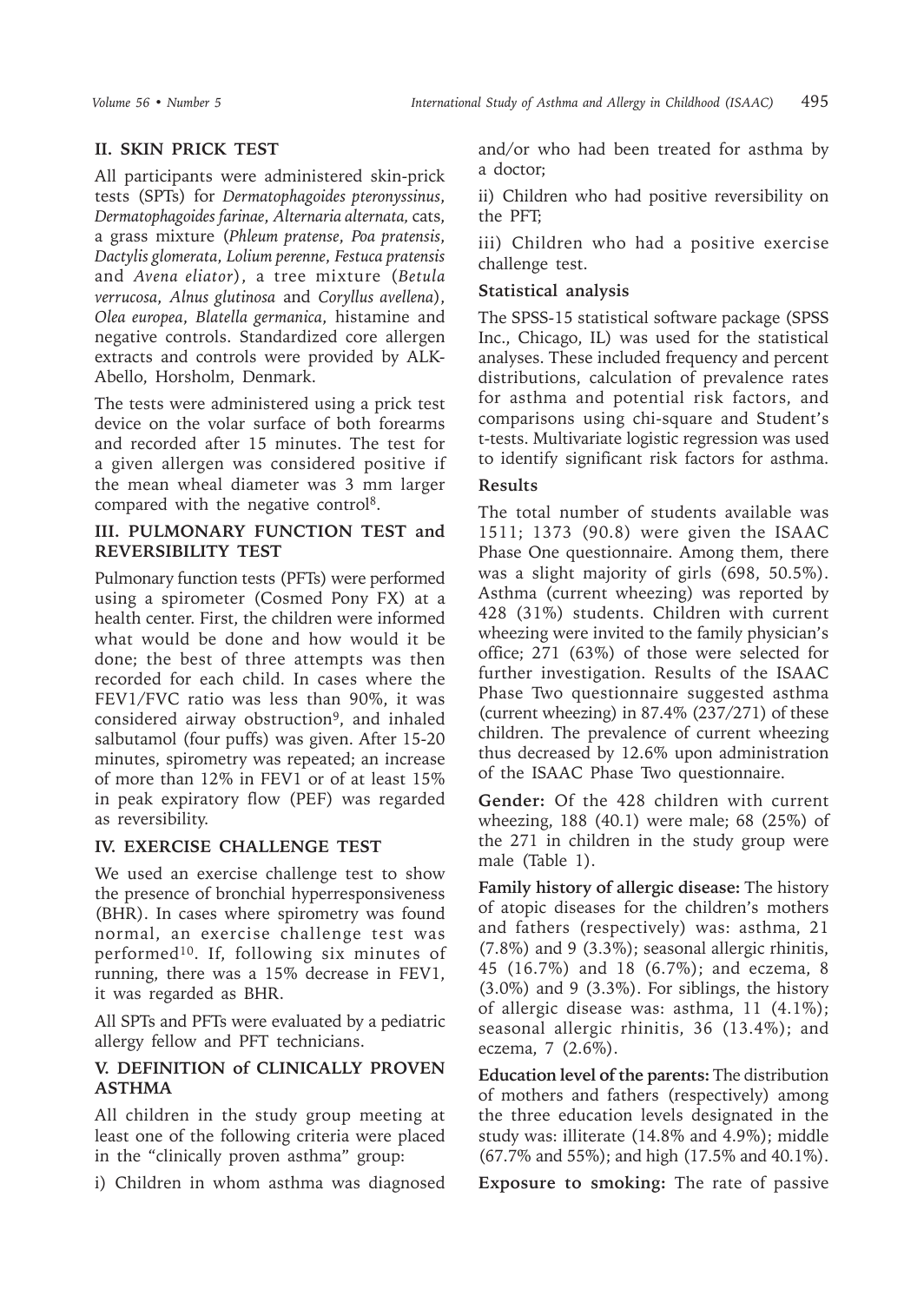# **II. SKIN PRICK TEST**

All participants were administered skin-prick tests (SPTs) for *Dermatophagoides pteronyssinus*, *Dermatophagoides farinae*, *Alternaria alternata,* cats, a grass mixture (*Phleum pratense*, *Poa pratensis*, *Dactylis glomerata*, *Lolium perenne*, *Festuca pratensis* and *Avena eliator*), a tree mixture (*Betula verrucosa*, *Alnus glutinosa* and *Coryllus avellena*), *Olea europea*, *Blatella germanica*, histamine and negative controls. Standardized core allergen extracts and controls were provided by ALK-Abello, Horsholm, Denmark.

The tests were administered using a prick test device on the volar surface of both forearms and recorded after 15 minutes. The test for a given allergen was considered positive if the mean wheal diameter was 3 mm larger compared with the negative control<sup>8</sup>.

#### **III. PULMONARY FUNCTION TEST and REVERSIBILITY TEST**

Pulmonary function tests (PFTs) were performed using a spirometer (Cosmed Pony FX) at a health center. First, the children were informed what would be done and how would it be done; the best of three attempts was then recorded for each child. In cases where the FEV1/FVC ratio was less than 90%, it was considered airway obstruction<sup>9</sup>, and inhaled salbutamol (four puffs) was given. After 15-20 minutes, spirometry was repeated; an increase of more than 12% in FEV1 or of at least 15% in peak expiratory flow (PEF) was regarded as reversibility.

#### **IV. EXERCISE CHALLENGE TEST**

We used an exercise challenge test to show the presence of bronchial hyperresponsiveness (BHR). In cases where spirometry was found normal, an exercise challenge test was performed10. If, following six minutes of running, there was a 15% decrease in FEV1, it was regarded as BHR.

All SPTs and PFTs were evaluated by a pediatric allergy fellow and PFT technicians.

# **V. DEFINITION of CLINICALLY PROVEN ASTHMA**

All children in the study group meeting at least one of the following criteria were placed in the "clinically proven asthma" group:

i) Children in whom asthma was diagnosed

and/or who had been treated for asthma by a doctor;

ii) Children who had positive reversibility on the PFT;

iii) Children who had a positive exercise challenge test.

#### **Statistical analysis**

The SPSS-15 statistical software package (SPSS Inc., Chicago, IL) was used for the statistical analyses. These included frequency and percent distributions, calculation of prevalence rates for asthma and potential risk factors, and comparisons using chi-square and Student's t-tests. Multivariate logistic regression was used to identify significant risk factors for asthma.

## **Results**

The total number of students available was 1511; 1373 (90.8) were given the ISAAC Phase One questionnaire. Among them, there was a slight majority of girls (698, 50.5%). Asthma (current wheezing) was reported by 428 (31%) students. Children with current wheezing were invited to the family physician's office; 271 (63%) of those were selected for further investigation. Results of the ISAAC Phase Two questionnaire suggested asthma (current wheezing) in 87.4% (237/271) of these children. The prevalence of current wheezing thus decreased by 12.6% upon administration of the ISAAC Phase Two questionnaire.

**Gender:** Of the 428 children with current wheezing, 188 (40.1) were male; 68 (25%) of the 271 in children in the study group were male (Table 1).

**Family history of allergic disease:** The history of atopic diseases for the children's mothers and fathers (respectively) was: asthma, 21 (7.8%) and 9 (3.3%); seasonal allergic rhinitis, 45 (16.7%) and 18 (6.7%); and eczema, 8 (3.0%) and 9 (3.3%). For siblings, the history of allergic disease was: asthma, 11 (4.1%); seasonal allergic rhinitis, 36 (13.4%); and eczema, 7 (2.6%).

**Education level of the parents:** The distribution of mothers and fathers (respectively) among the three education levels designated in the study was: illiterate (14.8% and 4.9%); middle (67.7% and 55%); and high (17.5% and 40.1%).

**Exposure to smoking:** The rate of passive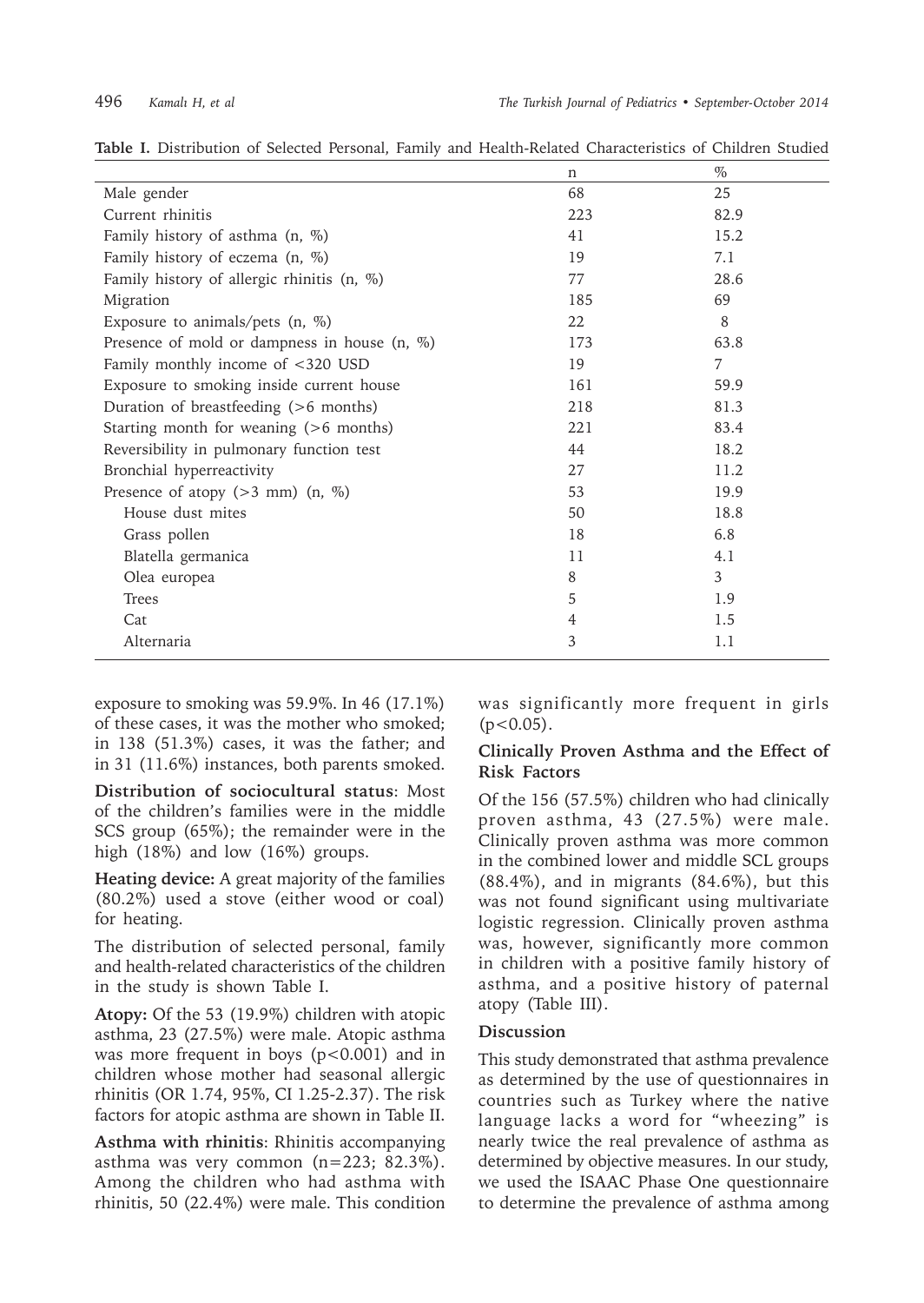|                                                | $\mathbf n$    | $\%$ |
|------------------------------------------------|----------------|------|
| Male gender                                    | 68             | 25   |
| Current rhinitis                               | 223            | 82.9 |
| Family history of asthma (n, %)                | 41             | 15.2 |
| Family history of eczema (n, %)                | 19             | 7.1  |
| Family history of allergic rhinitis $(n, %)$   | 77             | 28.6 |
| Migration                                      | 185            | 69   |
| Exposure to animals/pets $(n, %)$              | 22             | 8    |
| Presence of mold or dampness in house $(n, %)$ | 173            | 63.8 |
| Family monthly income of <320 USD              | 19             | 7    |
| Exposure to smoking inside current house       | 161            | 59.9 |
| Duration of breastfeeding (>6 months)          | 218            | 81.3 |
| Starting month for weaning (>6 months)         | 221            | 83.4 |
| Reversibility in pulmonary function test       | 44             | 18.2 |
| Bronchial hyperreactivity                      | 27             | 11.2 |
| Presence of atopy ( $>3$ mm) (n, $\%$ )        | 53             | 19.9 |
| House dust mites                               | 50             | 18.8 |
| Grass pollen                                   | 18             | 6.8  |
| Blatella germanica                             | 11             | 4.1  |
| Olea europea                                   | 8              | 3    |
| Trees                                          | 5              | 1.9  |
| Cat                                            | $\overline{4}$ | 1.5  |
| Alternaria                                     | 3              | 1.1  |

**Table I.** Distribution of Selected Personal, Family and Health-Related Characteristics of Children Studied

exposure to smoking was 59.9%. In 46 (17.1%) of these cases, it was the mother who smoked; in 138 (51.3%) cases, it was the father; and in 31 (11.6%) instances, both parents smoked.

**Distribution of sociocultural status**: Most of the children's families were in the middle SCS group (65%); the remainder were in the high (18%) and low (16%) groups.

**Heating device:** A great majority of the families (80.2%) used a stove (either wood or coal) for heating.

The distribution of selected personal, family and health-related characteristics of the children in the study is shown Table I.

**Atopy:** Of the 53 (19.9%) children with atopic asthma, 23 (27.5%) were male. Atopic asthma was more frequent in boys  $(p<0.001)$  and in children whose mother had seasonal allergic rhinitis (OR 1.74, 95%, CI 1.25-2.37). The risk factors for atopic asthma are shown in Table II.

**Asthma with rhinitis**: Rhinitis accompanying asthma was very common (n=223; 82.3%). Among the children who had asthma with rhinitis, 50 (22.4%) were male. This condition

was significantly more frequent in girls  $(p<0.05)$ .

#### **Clinically Proven Asthma and the Effect of Risk Factors**

Of the 156 (57.5%) children who had clinically proven asthma, 43 (27.5%) were male. Clinically proven asthma was more common in the combined lower and middle SCL groups  $(88.4\%)$ , and in migrants  $(84.6\%)$ , but this was not found significant using multivariate logistic regression. Clinically proven asthma was, however, significantly more common in children with a positive family history of asthma, and a positive history of paternal atopy (Table III).

#### **Discussion**

This study demonstrated that asthma prevalence as determined by the use of questionnaires in countries such as Turkey where the native language lacks a word for "wheezing" is nearly twice the real prevalence of asthma as determined by objective measures. In our study, we used the ISAAC Phase One questionnaire to determine the prevalence of asthma among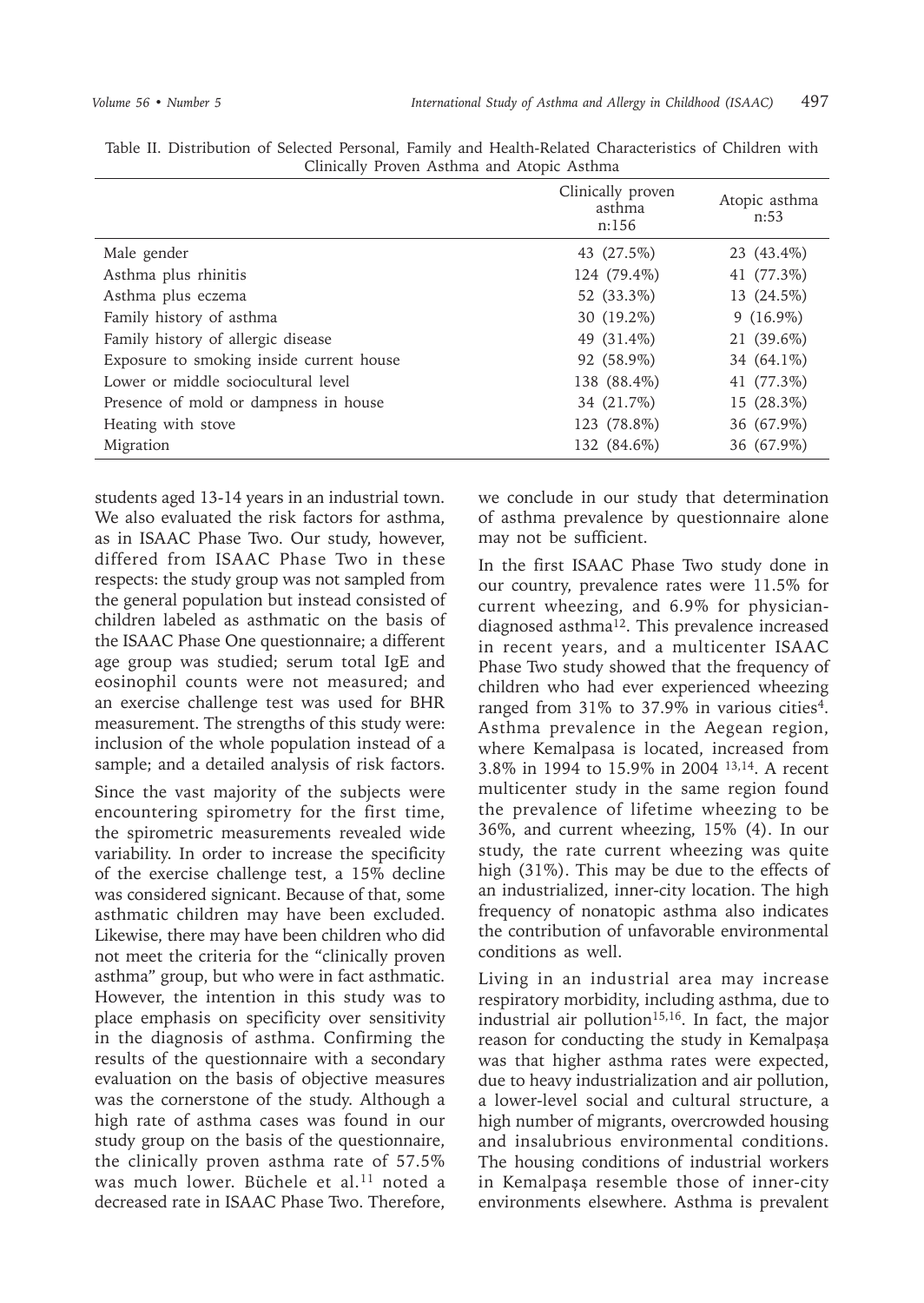|                                          | Clinically proven<br>asthma<br>n:156 | Atopic asthma<br>n:53 |
|------------------------------------------|--------------------------------------|-----------------------|
| Male gender                              | 43 (27.5%)                           | 23 (43.4%)            |
| Asthma plus rhinitis                     | 124 (79.4%)                          | 41 (77.3%)            |
| Asthma plus eczema                       | 52 (33.3%)                           | 13 (24.5%)            |
| Family history of asthma                 | 30 (19.2%)                           | $9(16.9\%)$           |
| Family history of allergic disease       | 49 (31.4%)                           | 21 (39.6%)            |
| Exposure to smoking inside current house | 92 (58.9%)                           | 34 (64.1%)            |
| Lower or middle sociocultural level      | 138 (88.4%)                          | 41 (77.3%)            |
| Presence of mold or dampness in house    | 34 (21.7%)                           | 15 (28.3%)            |
| Heating with stove                       | 123 (78.8%)                          | 36 (67.9%)            |
| Migration                                | 132 (84.6%)                          | 36 (67.9%)            |

Table II. Distribution of Selected Personal, Family and Health-Related Characteristics of Children with Clinically Proven Asthma and Atopic Asthma

students aged 13-14 years in an industrial town. We also evaluated the risk factors for asthma, as in ISAAC Phase Two. Our study, however, differed from ISAAC Phase Two in these respects: the study group was not sampled from the general population but instead consisted of children labeled as asthmatic on the basis of the ISAAC Phase One questionnaire; a different age group was studied; serum total IgE and eosinophil counts were not measured; and an exercise challenge test was used for BHR measurement. The strengths of this study were: inclusion of the whole population instead of a sample; and a detailed analysis of risk factors.

Since the vast majority of the subjects were encountering spirometry for the first time, the spirometric measurements revealed wide variability. In order to increase the specificity of the exercise challenge test, a 15% decline was considered signicant. Because of that, some asthmatic children may have been excluded. Likewise, there may have been children who did not meet the criteria for the "clinically proven asthma" group, but who were in fact asthmatic. However, the intention in this study was to place emphasis on specificity over sensitivity in the diagnosis of asthma. Confirming the results of the questionnaire with a secondary evaluation on the basis of objective measures was the cornerstone of the study. Although a high rate of asthma cases was found in our study group on the basis of the questionnaire, the clinically proven asthma rate of 57.5% was much lower. Büchele et al.<sup>11</sup> noted a decreased rate in ISAAC Phase Two. Therefore,

we conclude in our study that determination of asthma prevalence by questionnaire alone may not be sufficient.

In the first ISAAC Phase Two study done in our country, prevalence rates were 11.5% for current wheezing, and 6.9% for physiciandiagnosed asthma12. This prevalence increased in recent years, and a multicenter ISAAC Phase Two study showed that the frequency of children who had ever experienced wheezing ranged from  $31\%$  to  $37.9\%$  in various cities<sup>4</sup>. Asthma prevalence in the Aegean region, where Kemalpasa is located, increased from 3.8% in 1994 to 15.9% in 2004 13,14. A recent multicenter study in the same region found the prevalence of lifetime wheezing to be 36%, and current wheezing, 15% (4). In our study, the rate current wheezing was quite high (31%). This may be due to the effects of an industrialized, inner-city location. The high frequency of nonatopic asthma also indicates the contribution of unfavorable environmental conditions as well.

Living in an industrial area may increase respiratory morbidity, including asthma, due to industrial air pollution<sup>15,16</sup>. In fact, the major reason for conducting the study in Kemalpaşa was that higher asthma rates were expected, due to heavy industrialization and air pollution, a lower-level social and cultural structure, a high number of migrants, overcrowded housing and insalubrious environmental conditions. The housing conditions of industrial workers in Kemalpaşa resemble those of inner-city environments elsewhere. Asthma is prevalent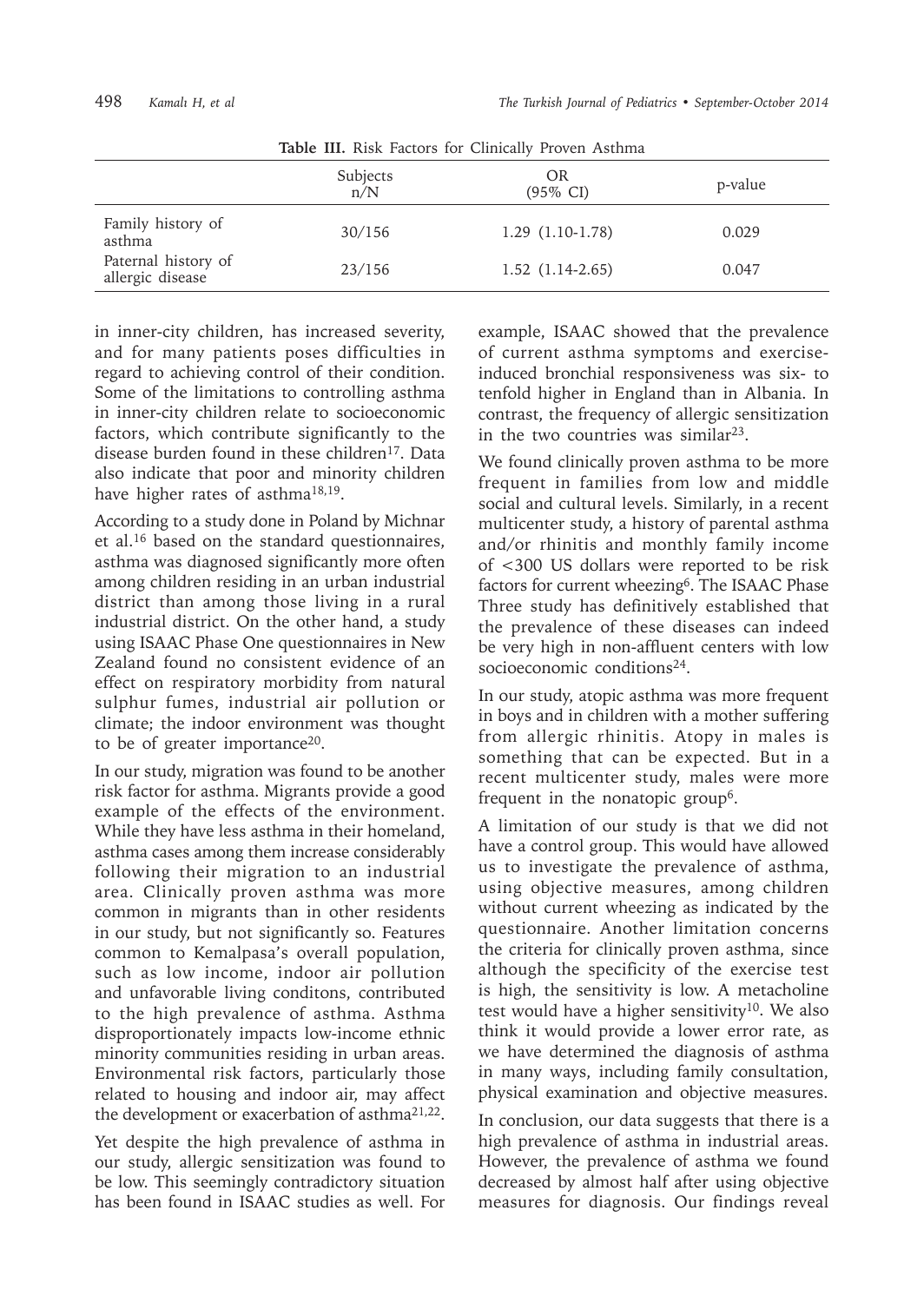| <b>Table III.</b> KISK Pactors for Chilically Proven Astimila |                 |                           |         |
|---------------------------------------------------------------|-----------------|---------------------------|---------|
|                                                               | Subjects<br>n/N | OR<br>$(95\% \text{ CI})$ | p-value |
| Family history of<br>asthma                                   | 30/156          | $1.29(1.10-1.78)$         | 0.029   |
| Paternal history of<br>allergic disease                       | 23/156          | $1.52(1.14-2.65)$         | 0.047   |

**Table III.** Risk Factors for Clinically Proven Asthma

in inner-city children, has increased severity, and for many patients poses difficulties in regard to achieving control of their condition. Some of the limitations to controlling asthma in inner-city children relate to socioeconomic factors, which contribute significantly to the disease burden found in these children<sup>17</sup>. Data also indicate that poor and minority children have higher rates of asthma<sup>18,19</sup>.

According to a study done in Poland by Michnar et al.<sup>16</sup> based on the standard questionnaires, asthma was diagnosed significantly more often among children residing in an urban industrial district than among those living in a rural industrial district. On the other hand, a study using ISAAC Phase One questionnaires in New Zealand found no consistent evidence of an effect on respiratory morbidity from natural sulphur fumes, industrial air pollution or climate; the indoor environment was thought to be of greater importance20.

In our study, migration was found to be another risk factor for asthma. Migrants provide a good example of the effects of the environment. While they have less asthma in their homeland, asthma cases among them increase considerably following their migration to an industrial area. Clinically proven asthma was more common in migrants than in other residents in our study, but not significantly so. Features common to Kemalpasa's overall population, such as low income, indoor air pollution and unfavorable living conditons, contributed to the high prevalence of asthma. Asthma disproportionately impacts low-income ethnic minority communities residing in urban areas. Environmental risk factors, particularly those related to housing and indoor air, may affect the development or exacerbation of asthma21,22.

Yet despite the high prevalence of asthma in our study, allergic sensitization was found to be low. This seemingly contradictory situation has been found in ISAAC studies as well. For

example, ISAAC showed that the prevalence of current asthma symptoms and exerciseinduced bronchial responsiveness was six- to tenfold higher in England than in Albania. In contrast, the frequency of allergic sensitization in the two countries was similar<sup>23</sup>.

We found clinically proven asthma to be more frequent in families from low and middle social and cultural levels. Similarly, in a recent multicenter study, a history of parental asthma and/or rhinitis and monthly family income of <300 US dollars were reported to be risk factors for current wheezing<sup>6</sup>. The ISAAC Phase Three study has definitively established that the prevalence of these diseases can indeed be very high in non-affluent centers with low socioeconomic conditions<sup>24</sup>.

In our study, atopic asthma was more frequent in boys and in children with a mother suffering from allergic rhinitis. Atopy in males is something that can be expected. But in a recent multicenter study, males were more frequent in the nonatopic group6.

A limitation of our study is that we did not have a control group. This would have allowed us to investigate the prevalence of asthma, using objective measures, among children without current wheezing as indicated by the questionnaire. Another limitation concerns the criteria for clinically proven asthma, since although the specificity of the exercise test is high, the sensitivity is low. A metacholine test would have a higher sensitivity<sup>10</sup>. We also think it would provide a lower error rate, as we have determined the diagnosis of asthma in many ways, including family consultation, physical examination and objective measures.

In conclusion, our data suggests that there is a high prevalence of asthma in industrial areas. However, the prevalence of asthma we found decreased by almost half after using objective measures for diagnosis. Our findings reveal